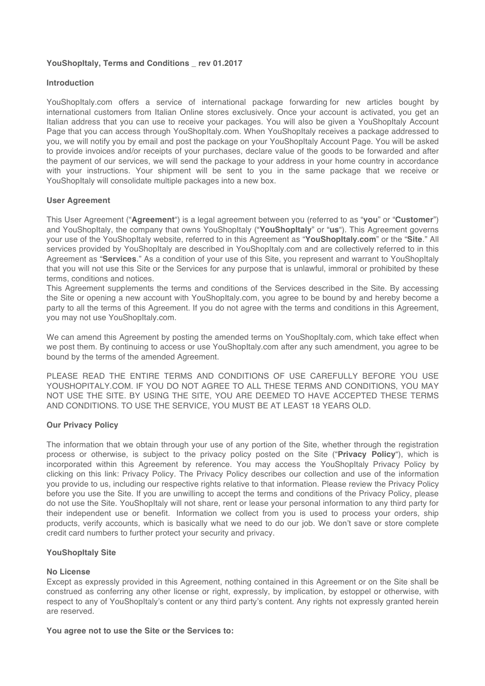### **YouShopItaly, Terms and Conditions \_ rev 01.2017**

### **Introduction**

YouShopItaly.com offers a service of international package forwarding for new articles bought by international customers from Italian Online stores exclusively. Once your account is activated, you get an Italian address that you can use to receive your packages. You will also be given a YouShopItaly Account Page that you can access through YouShopItaly.com. When YouShopItaly receives a package addressed to you, we will notify you by email and post the package on your YouShopItaly Account Page. You will be asked to provide invoices and/or receipts of your purchases, declare value of the goods to be forwarded and after the payment of our services, we will send the package to your address in your home country in accordance with your instructions. Your shipment will be sent to you in the same package that we receive or YouShopItaly will consolidate multiple packages into a new box.

#### **User Agreement**

This User Agreement ("**Agreement**") is a legal agreement between you (referred to as "**you**" or "**Customer**") and YouShopItaly, the company that owns YouShopItaly ("**YouShopItaly**" or "**us**"). This Agreement governs your use of the YouShopItaly website, referred to in this Agreement as "**YouShopItaly.com**" or the "**Site**." All services provided by YouShopItaly are described in YouShopItaly.com and are collectively referred to in this Agreement as "**Services**." As a condition of your use of this Site, you represent and warrant to YouShopItaly that you will not use this Site or the Services for any purpose that is unlawful, immoral or prohibited by these terms, conditions and notices.

This Agreement supplements the terms and conditions of the Services described in the Site. By accessing the Site or opening a new account with YouShopItaly.com, you agree to be bound by and hereby become a party to all the terms of this Agreement. If you do not agree with the terms and conditions in this Agreement, you may not use YouShopItaly.com.

We can amend this Agreement by posting the amended terms on YouShopItaly.com, which take effect when we post them. By continuing to access or use YouShopItaly.com after any such amendment, you agree to be bound by the terms of the amended Agreement.

PLEASE READ THE ENTIRE TERMS AND CONDITIONS OF USE CAREFULLY BEFORE YOU USE YOUSHOPITALY.COM. IF YOU DO NOT AGREE TO ALL THESE TERMS AND CONDITIONS, YOU MAY NOT USE THE SITE. BY USING THE SITE, YOU ARE DEEMED TO HAVE ACCEPTED THESE TERMS AND CONDITIONS. TO USE THE SERVICE, YOU MUST BE AT LEAST 18 YEARS OLD.

## **Our Privacy Policy**

The information that we obtain through your use of any portion of the Site, whether through the registration process or otherwise, is subject to the privacy policy posted on the Site ("**Privacy Policy**"), which is incorporated within this Agreement by reference. You may access the YouShopItaly Privacy Policy by clicking on this link: Privacy Policy. The Privacy Policy describes our collection and use of the information you provide to us, including our respective rights relative to that information. Please review the Privacy Policy before you use the Site. If you are unwilling to accept the terms and conditions of the Privacy Policy, please do not use the Site. YouShopItaly will not share, rent or lease your personal information to any third party for their independent use or benefit. Information we collect from you is used to process your orders, ship products, verify accounts, which is basically what we need to do our job. We don't save or store complete credit card numbers to further protect your security and privacy.

## **YouShopItaly Site**

## **No License**

Except as expressly provided in this Agreement, nothing contained in this Agreement or on the Site shall be construed as conferring any other license or right, expressly, by implication, by estoppel or otherwise, with respect to any of YouShopItaly's content or any third party's content. Any rights not expressly granted herein are reserved.

#### **You agree not to use the Site or the Services to:**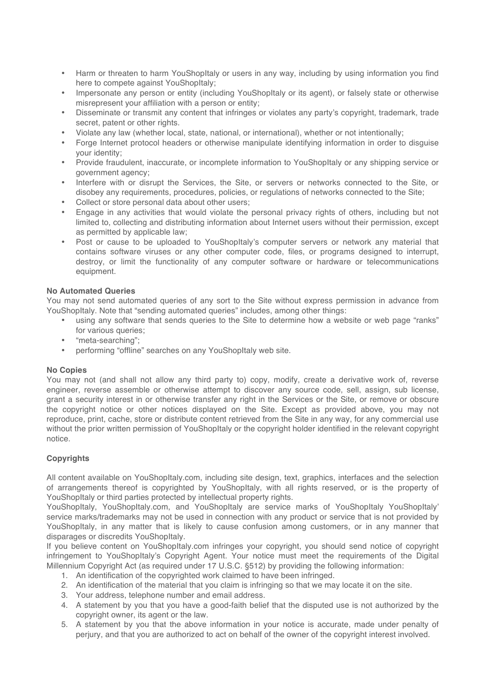- Harm or threaten to harm YouShopItaly or users in any way, including by using information you find here to compete against YouShopItaly;
- Impersonate any person or entity (including YouShopItaly or its agent), or falsely state or otherwise misrepresent your affiliation with a person or entity;
- Disseminate or transmit any content that infringes or violates any party's copyright, trademark, trade secret, patent or other rights.
- Violate any law (whether local, state, national, or international), whether or not intentionally;
- Forge Internet protocol headers or otherwise manipulate identifying information in order to disguise your identity;
- Provide fraudulent, inaccurate, or incomplete information to YouShopItaly or any shipping service or government agency;
- Interfere with or disrupt the Services, the Site, or servers or networks connected to the Site, or disobey any requirements, procedures, policies, or regulations of networks connected to the Site;
- Collect or store personal data about other users;
- Engage in any activities that would violate the personal privacy rights of others, including but not limited to, collecting and distributing information about Internet users without their permission, except as permitted by applicable law;
- Post or cause to be uploaded to YouShopItaly's computer servers or network any material that contains software viruses or any other computer code, files, or programs designed to interrupt, destroy, or limit the functionality of any computer software or hardware or telecommunications equipment.

## **No Automated Queries**

You may not send automated queries of any sort to the Site without express permission in advance from YouShopItaly. Note that "sending automated queries" includes, among other things:

- using any software that sends queries to the Site to determine how a website or web page "ranks" for various queries;
- "meta-searching";
- performing "offline" searches on any YouShopItaly web site.

## **No Copies**

You may not (and shall not allow any third party to) copy, modify, create a derivative work of, reverse engineer, reverse assemble or otherwise attempt to discover any source code, sell, assign, sub license, grant a security interest in or otherwise transfer any right in the Services or the Site, or remove or obscure the copyright notice or other notices displayed on the Site. Except as provided above, you may not reproduce, print, cache, store or distribute content retrieved from the Site in any way, for any commercial use without the prior written permission of YouShopItaly or the copyright holder identified in the relevant copyright notice.

# **Copyrights**

All content available on YouShopItaly.com, including site design, text, graphics, interfaces and the selection of arrangements thereof is copyrighted by YouShopItaly, with all rights reserved, or is the property of YouShopItaly or third parties protected by intellectual property rights.

YouShopItaly, YouShopItaly.com, and YouShopItaly are service marks of YouShopItaly YouShopItaly' service marks/trademarks may not be used in connection with any product or service that is not provided by YouShopItaly, in any matter that is likely to cause confusion among customers, or in any manner that disparages or discredits YouShopItaly.

If you believe content on YouShopItaly.com infringes your copyright, you should send notice of copyright infringement to YouShopItaly's Copyright Agent. Your notice must meet the requirements of the Digital Millennium Copyright Act (as required under 17 U.S.C. §512) by providing the following information:

- 1. An identification of the copyrighted work claimed to have been infringed.
- 2. An identification of the material that you claim is infringing so that we may locate it on the site.
- 3. Your address, telephone number and email address.
- 4. A statement by you that you have a good-faith belief that the disputed use is not authorized by the copyright owner, its agent or the law.
- 5. A statement by you that the above information in your notice is accurate, made under penalty of perjury, and that you are authorized to act on behalf of the owner of the copyright interest involved.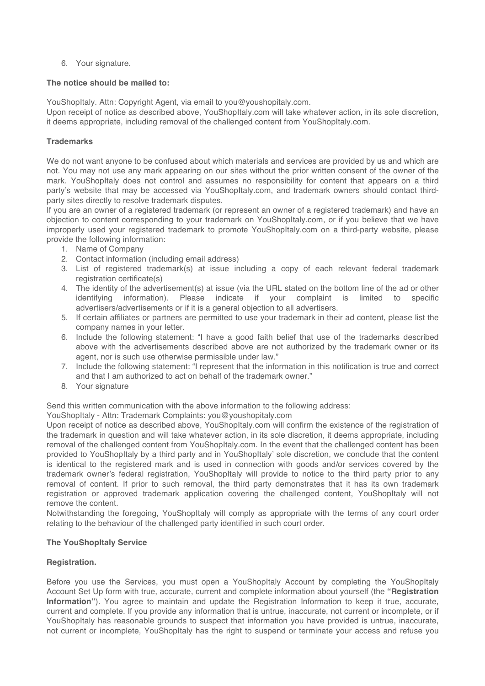6. Your signature.

## **The notice should be mailed to:**

YouShopItaly. Attn: Copyright Agent, via email to you@youshopitaly.com.

Upon receipt of notice as described above, YouShopItaly.com will take whatever action, in its sole discretion, it deems appropriate, including removal of the challenged content from YouShopItaly.com.

## **Trademarks**

We do not want anyone to be confused about which materials and services are provided by us and which are not. You may not use any mark appearing on our sites without the prior written consent of the owner of the mark. YouShopItaly does not control and assumes no responsibility for content that appears on a third party's website that may be accessed via YouShopItaly.com, and trademark owners should contact thirdparty sites directly to resolve trademark disputes.

If you are an owner of a registered trademark (or represent an owner of a registered trademark) and have an objection to content corresponding to your trademark on YouShopItaly.com, or if you believe that we have improperly used your registered trademark to promote YouShopItaly.com on a third-party website, please provide the following information:

- 1. Name of Company
- 2. Contact information (including email address)
- 3. List of registered trademark(s) at issue including a copy of each relevant federal trademark registration certificate(s)
- 4. The identity of the advertisement(s) at issue (via the URL stated on the bottom line of the ad or other identifying information). Please indicate if your complaint is limited to specific advertisers/advertisements or if it is a general objection to all advertisers.
- 5. If certain affiliates or partners are permitted to use your trademark in their ad content, please list the company names in your letter.
- 6. Include the following statement: "I have a good faith belief that use of the trademarks described above with the advertisements described above are not authorized by the trademark owner or its agent, nor is such use otherwise permissible under law."
- 7. Include the following statement: "I represent that the information in this notification is true and correct and that I am authorized to act on behalf of the trademark owner."
- 8. Your signature

Send this written communication with the above information to the following address:

YouShopItaly - Attn: Trademark Complaints: you@youshopitaly.com

Upon receipt of notice as described above, YouShopItaly.com will confirm the existence of the registration of the trademark in question and will take whatever action, in its sole discretion, it deems appropriate, including removal of the challenged content from YouShopItaly.com. In the event that the challenged content has been provided to YouShopItaly by a third party and in YouShopItaly' sole discretion, we conclude that the content is identical to the registered mark and is used in connection with goods and/or services covered by the trademark owner's federal registration, YouShopItaly will provide to notice to the third party prior to any removal of content. If prior to such removal, the third party demonstrates that it has its own trademark registration or approved trademark application covering the challenged content, YouShopItaly will not remove the content.

Notwithstanding the foregoing, YouShopItaly will comply as appropriate with the terms of any court order relating to the behaviour of the challenged party identified in such court order.

## **The YouShopItaly Service**

## **Registration.**

Before you use the Services, you must open a YouShopItaly Account by completing the YouShopItaly Account Set Up form with true, accurate, current and complete information about yourself (the **"Registration Information"**). You agree to maintain and update the Registration Information to keep it true, accurate, current and complete. If you provide any information that is untrue, inaccurate, not current or incomplete, or if YouShopItaly has reasonable grounds to suspect that information you have provided is untrue, inaccurate, not current or incomplete, YouShopItaly has the right to suspend or terminate your access and refuse you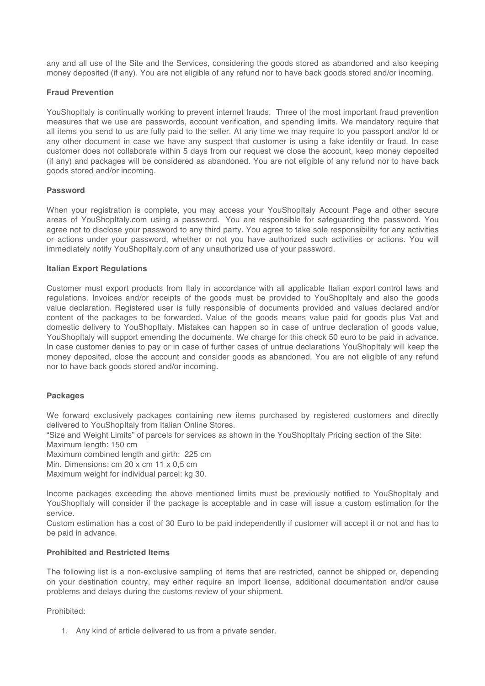any and all use of the Site and the Services, considering the goods stored as abandoned and also keeping money deposited (if any). You are not eligible of any refund nor to have back goods stored and/or incoming.

### **Fraud Prevention**

YouShopItaly is continually working to prevent internet frauds. Three of the most important fraud prevention measures that we use are passwords, account verification, and spending limits. We mandatory require that all items you send to us are fully paid to the seller. At any time we may require to you passport and/or Id or any other document in case we have any suspect that customer is using a fake identity or fraud. In case customer does not collaborate within 5 days from our request we close the account, keep money deposited (if any) and packages will be considered as abandoned. You are not eligible of any refund nor to have back goods stored and/or incoming.

#### **Password**

When your registration is complete, you may access your YouShopItaly Account Page and other secure areas of YouShopItaly.com using a password. You are responsible for safeguarding the password. You agree not to disclose your password to any third party. You agree to take sole responsibility for any activities or actions under your password, whether or not you have authorized such activities or actions. You will immediately notify YouShopItaly.com of any unauthorized use of your password.

### **Italian Export Regulations**

Customer must export products from Italy in accordance with all applicable Italian export control laws and regulations. Invoices and/or receipts of the goods must be provided to YouShopItaly and also the goods value declaration. Registered user is fully responsible of documents provided and values declared and/or content of the packages to be forwarded. Value of the goods means value paid for goods plus Vat and domestic delivery to YouShopItaly. Mistakes can happen so in case of untrue declaration of goods value, YouShopItaly will support emending the documents. We charge for this check 50 euro to be paid in advance. In case customer denies to pay or in case of further cases of untrue declarations YouShopItaly will keep the money deposited, close the account and consider goods as abandoned. You are not eligible of any refund nor to have back goods stored and/or incoming.

#### **Packages**

We forward exclusively packages containing new items purchased by registered customers and directly delivered to YouShopItaly from Italian Online Stores.

"Size and Weight Limits" of parcels for services as shown in the YouShopItaly Pricing section of the Site:

Maximum length: 150 cm

Maximum combined length and girth: 225 cm

Min. Dimensions: cm 20 x cm 11 x 0,5 cm

Maximum weight for individual parcel: kg 30.

Income packages exceeding the above mentioned limits must be previously notified to YouShopItaly and YouShopItaly will consider if the package is acceptable and in case will issue a custom estimation for the service.

Custom estimation has a cost of 30 Euro to be paid independently if customer will accept it or not and has to be paid in advance.

### **Prohibited and Restricted Items**

The following list is a non-exclusive sampling of items that are restricted, cannot be shipped or, depending on your destination country, may either require an import license, additional documentation and/or cause problems and delays during the customs review of your shipment.

#### Prohibited:

1. Any kind of article delivered to us from a private sender.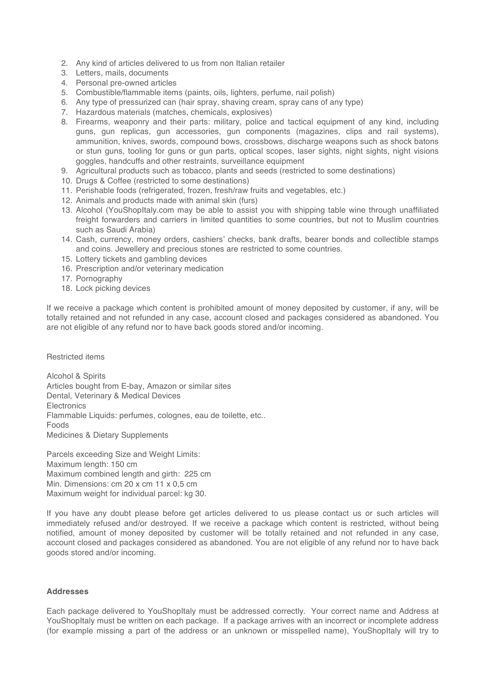- 2. Any kind of articles delivered to us from non Italian retailer
- 3. Letters, mails, documents
- 4. Personal pre-owned articles
- 5. Combustible/flammable items (paints, oils, lighters, perfume, nail polish)
- 6. Any type of pressurized can (hair spray, shaving cream, spray cans of any type)
- 7. Hazardous materials (matches, chemicals, explosives)
- 8. Firearms, weaponry and their parts: military, police and tactical equipment of any kind, including guns, gun replicas, gun accessories, gun components (magazines, clips and rail systems), ammunition, knives, swords, compound bows, crossbows, discharge weapons such as shock batons or stun guns, tooling for guns or gun parts, optical scopes, laser sights, night sights, night visions goggles, handcuffs and other restraints, surveillance equipment
- 9. Agricultural products such as tobacco, plants and seeds (restricted to some destinations)
- 10. Drugs & Coffee (restricted to some destinations)
- 11. Perishable foods (refrigerated, frozen, fresh/raw fruits and vegetables, etc.)
- 12. Animals and products made with animal skin (furs)
- 13. Alcohol (YouShopItaly.com may be able to assist you with shipping table wine through unaffiliated freight forwarders and carriers in limited quantities to some countries, but not to Muslim countries such as Saudi Arabia)
- 14. Cash, currency, money orders, cashiers' checks, bank drafts, bearer bonds and collectible stamps and coins. Jewellery and precious stones are restricted to some countries.
- 15. Lottery tickets and gambling devices
- 16. Prescription and/or veterinary medication
- 17. Pornography
- 18. Lock picking devices

If we receive a package which content is prohibited amount of money deposited by customer, if any, will be totally retained and not refunded in any case, account closed and packages considered as abandoned. You are not eligible of any refund nor to have back goods stored and/or incoming.

Restricted items

Alcohol & Spirits Articles bought from E-bay, Amazon or similar sites Dental, Veterinary & Medical Devices **Electronics** Flammable Liquids: perfumes, colognes, eau de toilette, etc.. Foods Medicines & Dietary Supplements

Parcels exceeding Size and Weight Limits: Maximum length: 150 cm Maximum combined length and girth: 225 cm Min. Dimensions: cm 20 x cm 11 x 0,5 cm Maximum weight for individual parcel: kg 30.

If you have any doubt please before get articles delivered to us please contact us or such articles will immediately refused and/or destroyed. If we receive a package which content is restricted, without being notified, amount of money deposited by customer will be totally retained and not refunded in any case, account closed and packages considered as abandoned. You are not eligible of any refund nor to have back goods stored and/or incoming.

### **Addresses**

Each package delivered to YouShopItaly must be addressed correctly. Your correct name and Address at YouShopItaly must be written on each package. If a package arrives with an incorrect or incomplete address (for example missing a part of the address or an unknown or misspelled name), YouShopItaly will try to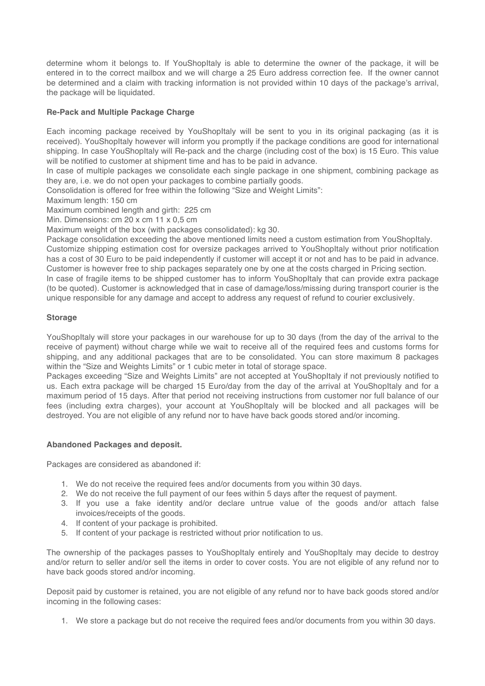determine whom it belongs to. If YouShopItaly is able to determine the owner of the package, it will be entered in to the correct mailbox and we will charge a 25 Euro address correction fee. If the owner cannot be determined and a claim with tracking information is not provided within 10 days of the package's arrival, the package will be liquidated.

## **Re-Pack and Multiple Package Charge**

Each incoming package received by YouShopItaly will be sent to you in its original packaging (as it is received). YouShopItaly however will inform you promptly if the package conditions are good for international shipping. In case YouShopItaly will Re-pack and the charge (including cost of the box) is 15 Euro. This value will be notified to customer at shipment time and has to be paid in advance.

In case of multiple packages we consolidate each single package in one shipment, combining package as they are, i.e. we do not open your packages to combine partially goods.

Consolidation is offered for free within the following "Size and Weight Limits":

Maximum length: 150 cm

Maximum combined length and girth: 225 cm

Min. Dimensions: cm 20 x cm 11 x 0,5 cm

Maximum weight of the box (with packages consolidated): kg 30.

Package consolidation exceeding the above mentioned limits need a custom estimation from YouShopItaly. Customize shipping estimation cost for oversize packages arrived to YouShopItaly without prior notification has a cost of 30 Euro to be paid independently if customer will accept it or not and has to be paid in advance. Customer is however free to ship packages separately one by one at the costs charged in Pricing section. In case of fragile items to be shipped customer has to inform YouShopItaly that can provide extra package (to be quoted). Customer is acknowledged that in case of damage/loss/missing during transport courier is the unique responsible for any damage and accept to address any request of refund to courier exclusively.

## **Storage**

YouShopItaly will store your packages in our warehouse for up to 30 days (from the day of the arrival to the receive of payment) without charge while we wait to receive all of the required fees and customs forms for shipping, and any additional packages that are to be consolidated. You can store maximum 8 packages within the "Size and Weights Limits" or 1 cubic meter in total of storage space.

Packages exceeding "Size and Weights Limits" are not accepted at YouShopItaly if not previously notified to us. Each extra package will be charged 15 Euro/day from the day of the arrival at YouShopItaly and for a maximum period of 15 days. After that period not receiving instructions from customer nor full balance of our fees (including extra charges), your account at YouShopItaly will be blocked and all packages will be destroyed. You are not eligible of any refund nor to have have back goods stored and/or incoming.

## **Abandoned Packages and deposit.**

Packages are considered as abandoned if:

- 1. We do not receive the required fees and/or documents from you within 30 days.
- 2. We do not receive the full payment of our fees within 5 days after the request of payment.
- 3. If you use a fake identity and/or declare untrue value of the goods and/or attach false invoices/receipts of the goods.
- 4. If content of your package is prohibited.
- 5. If content of your package is restricted without prior notification to us.

The ownership of the packages passes to YouShopItaly entirely and YouShopItaly may decide to destroy and/or return to seller and/or sell the items in order to cover costs. You are not eligible of any refund nor to have back goods stored and/or incoming.

Deposit paid by customer is retained, you are not eligible of any refund nor to have back goods stored and/or incoming in the following cases:

1. We store a package but do not receive the required fees and/or documents from you within 30 days.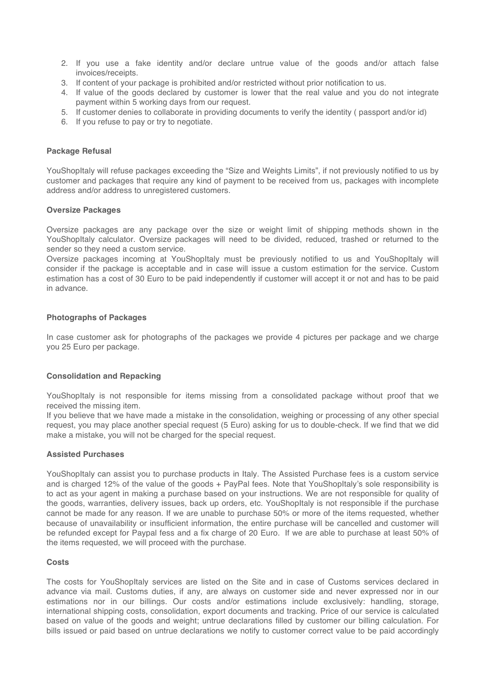- 2. If you use a fake identity and/or declare untrue value of the goods and/or attach false invoices/receipts.
- 3. If content of your package is prohibited and/or restricted without prior notification to us.
- 4. If value of the goods declared by customer is lower that the real value and you do not integrate payment within 5 working days from our request.
- 5. If customer denies to collaborate in providing documents to verify the identity ( passport and/or id)
- 6. If you refuse to pay or try to negotiate.

### **Package Refusal**

YouShopItaly will refuse packages exceeding the "Size and Weights Limits", if not previously notified to us by customer and packages that require any kind of payment to be received from us, packages with incomplete address and/or address to unregistered customers.

#### **Oversize Packages**

Oversize packages are any package over the size or weight limit of shipping methods shown in the YouShopItaly calculator. Oversize packages will need to be divided, reduced, trashed or returned to the sender so they need a custom service.

Oversize packages incoming at YouShopItaly must be previously notified to us and YouShopItaly will consider if the package is acceptable and in case will issue a custom estimation for the service. Custom estimation has a cost of 30 Euro to be paid independently if customer will accept it or not and has to be paid in advance.

### **Photographs of Packages**

In case customer ask for photographs of the packages we provide 4 pictures per package and we charge you 25 Euro per package.

## **Consolidation and Repacking**

YouShopItaly is not responsible for items missing from a consolidated package without proof that we received the missing item.

If you believe that we have made a mistake in the consolidation, weighing or processing of any other special request, you may place another special request (5 Euro) asking for us to double-check. If we find that we did make a mistake, you will not be charged for the special request.

#### **Assisted Purchases**

YouShopItaly can assist you to purchase products in Italy. The Assisted Purchase fees is a custom service and is charged 12% of the value of the goods + PayPal fees. Note that YouShopItaly's sole responsibility is to act as your agent in making a purchase based on your instructions. We are not responsible for quality of the goods, warranties, delivery issues, back up orders, etc. YouShopItaly is not responsible if the purchase cannot be made for any reason. If we are unable to purchase 50% or more of the items requested, whether because of unavailability or insufficient information, the entire purchase will be cancelled and customer will be refunded except for Paypal fess and a fix charge of 20 Euro. If we are able to purchase at least 50% of the items requested, we will proceed with the purchase.

#### **Costs**

The costs for YouShopItaly services are listed on the Site and in case of Customs services declared in advance via mail. Customs duties, if any, are always on customer side and never expressed nor in our estimations nor in our billings. Our costs and/or estimations include exclusively: handling, storage, international shipping costs, consolidation, export documents and tracking. Price of our service is calculated based on value of the goods and weight; untrue declarations filled by customer our billing calculation. For bills issued or paid based on untrue declarations we notify to customer correct value to be paid accordingly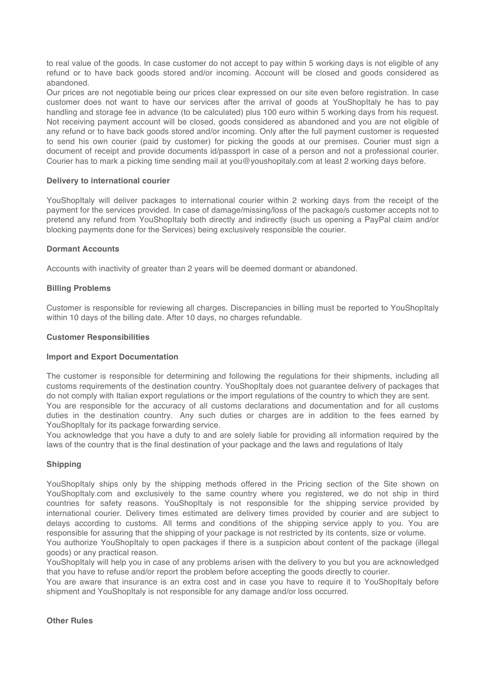to real value of the goods. In case customer do not accept to pay within 5 working days is not eligible of any refund or to have back goods stored and/or incoming. Account will be closed and goods considered as abandoned.

Our prices are not negotiable being our prices clear expressed on our site even before registration. In case customer does not want to have our services after the arrival of goods at YouShopItaly he has to pay handling and storage fee in advance (to be calculated) plus 100 euro within 5 working days from his request. Not receiving payment account will be closed, goods considered as abandoned and you are not eligible of any refund or to have back goods stored and/or incoming. Only after the full payment customer is requested to send his own courier (paid by customer) for picking the goods at our premises. Courier must sign a document of receipt and provide documents id/passport in case of a person and not a professional courier. Courier has to mark a picking time sending mail at you@youshopitaly.com at least 2 working days before.

### **Delivery to international courier**

YouShopItaly will deliver packages to international courier within 2 working days from the receipt of the payment for the services provided. In case of damage/missing/loss of the package/s customer accepts not to pretend any refund from YouShopItaly both directly and indirectly (such us opening a PayPal claim and/or blocking payments done for the Services) being exclusively responsible the courier.

### **Dormant Accounts**

Accounts with inactivity of greater than 2 years will be deemed dormant or abandoned.

### **Billing Problems**

Customer is responsible for reviewing all charges. Discrepancies in billing must be reported to YouShopItaly within 10 days of the billing date. After 10 days, no charges refundable.

#### **Customer Responsibilities**

#### **Import and Export Documentation**

The customer is responsible for determining and following the regulations for their shipments, including all customs requirements of the destination country. YouShopItaly does not guarantee delivery of packages that do not comply with Italian export regulations or the import regulations of the country to which they are sent. You are responsible for the accuracy of all customs declarations and documentation and for all customs duties in the destination country. Any such duties or charges are in addition to the fees earned by YouShopItaly for its package forwarding service.

You acknowledge that you have a duty to and are solely liable for providing all information required by the laws of the country that is the final destination of your package and the laws and regulations of Italy

#### **Shipping**

YouShopItaly ships only by the shipping methods offered in the Pricing section of the Site shown on YouShopItaly.com and exclusively to the same country where you registered, we do not ship in third countries for safety reasons. YouShopItaly is not responsible for the shipping service provided by international courier. Delivery times estimated are delivery times provided by courier and are subject to delays according to customs. All terms and conditions of the shipping service apply to you. You are responsible for assuring that the shipping of your package is not restricted by its contents, size or volume.

You authorize YouShopItaly to open packages if there is a suspicion about content of the package (illegal goods) or any practical reason.

YouShopItaly will help you in case of any problems arisen with the delivery to you but you are acknowledged that you have to refuse and/or report the problem before accepting the goods directly to courier.

You are aware that insurance is an extra cost and in case you have to require it to YouShopItaly before shipment and YouShopItaly is not responsible for any damage and/or loss occurred.

### **Other Rules**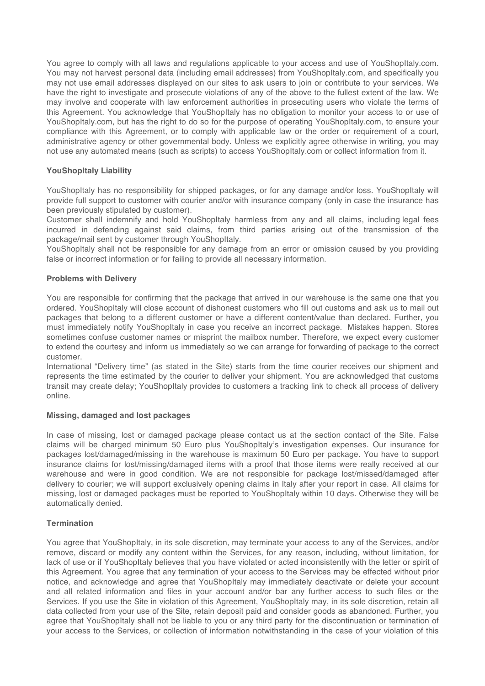You agree to comply with all laws and regulations applicable to your access and use of YouShopItaly.com. You may not harvest personal data (including email addresses) from YouShopItaly.com, and specifically you may not use email addresses displayed on our sites to ask users to join or contribute to your services. We have the right to investigate and prosecute violations of any of the above to the fullest extent of the law. We may involve and cooperate with law enforcement authorities in prosecuting users who violate the terms of this Agreement. You acknowledge that YouShopItaly has no obligation to monitor your access to or use of YouShopItaly.com, but has the right to do so for the purpose of operating YouShopItaly.com, to ensure your compliance with this Agreement, or to comply with applicable law or the order or requirement of a court, administrative agency or other governmental body. Unless we explicitly agree otherwise in writing, you may not use any automated means (such as scripts) to access YouShopItaly.com or collect information from it.

## **YouShopItaly Liability**

YouShopItaly has no responsibility for shipped packages, or for any damage and/or loss. YouShopItaly will provide full support to customer with courier and/or with insurance company (only in case the insurance has been previously stipulated by customer).

Customer shall indemnify and hold YouShopItaly harmless from any and all claims, including legal fees incurred in defending against said claims, from third parties arising out of the transmission of the package/mail sent by customer through YouShopItaly.

YouShopItaly shall not be responsible for any damage from an error or omission caused by you providing false or incorrect information or for failing to provide all necessary information.

## **Problems with Delivery**

You are responsible for confirming that the package that arrived in our warehouse is the same one that you ordered. YouShopItaly will close account of dishonest customers who fill out customs and ask us to mail out packages that belong to a different customer or have a different content/value than declared. Further, you must immediately notify YouShopItaly in case you receive an incorrect package. Mistakes happen. Stores sometimes confuse customer names or misprint the mailbox number. Therefore, we expect every customer to extend the courtesy and inform us immediately so we can arrange for forwarding of package to the correct customer.

International "Delivery time" (as stated in the Site) starts from the time courier receives our shipment and represents the time estimated by the courier to deliver your shipment. You are acknowledged that customs transit may create delay; YouShopItaly provides to customers a tracking link to check all process of delivery online.

## **Missing, damaged and lost packages**

In case of missing, lost or damaged package please contact us at the section contact of the Site. False claims will be charged minimum 50 Euro plus YouShopItaly's investigation expenses. Our insurance for packages lost/damaged/missing in the warehouse is maximum 50 Euro per package. You have to support insurance claims for lost/missing/damaged items with a proof that those items were really received at our warehouse and were in good condition. We are not responsible for package lost/missed/damaged after delivery to courier; we will support exclusively opening claims in Italy after your report in case. All claims for missing, lost or damaged packages must be reported to YouShopItaly within 10 days. Otherwise they will be automatically denied.

## **Termination**

You agree that YouShopItaly, in its sole discretion, may terminate your access to any of the Services, and/or remove, discard or modify any content within the Services, for any reason, including, without limitation, for lack of use or if YouShopItaly believes that you have violated or acted inconsistently with the letter or spirit of this Agreement. You agree that any termination of your access to the Services may be effected without prior notice, and acknowledge and agree that YouShopItaly may immediately deactivate or delete your account and all related information and files in your account and/or bar any further access to such files or the Services. If you use the Site in violation of this Agreement, YouShopItaly may, in its sole discretion, retain all data collected from your use of the Site, retain deposit paid and consider goods as abandoned. Further, you agree that YouShopItaly shall not be liable to you or any third party for the discontinuation or termination of your access to the Services, or collection of information notwithstanding in the case of your violation of this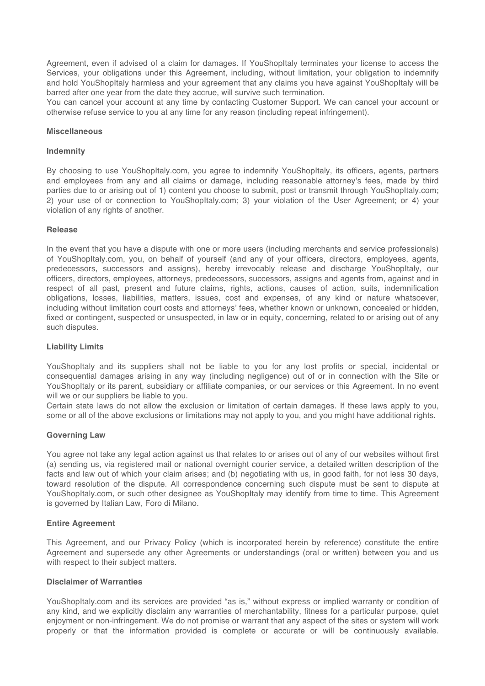Agreement, even if advised of a claim for damages. If YouShopItaly terminates your license to access the Services, your obligations under this Agreement, including, without limitation, your obligation to indemnify and hold YouShopItaly harmless and your agreement that any claims you have against YouShopItaly will be barred after one year from the date they accrue, will survive such termination.

You can cancel your account at any time by contacting Customer Support. We can cancel your account or otherwise refuse service to you at any time for any reason (including repeat infringement).

#### **Miscellaneous**

#### **Indemnity**

By choosing to use YouShopItaly.com, you agree to indemnify YouShopItaly, its officers, agents, partners and employees from any and all claims or damage, including reasonable attorney's fees, made by third parties due to or arising out of 1) content you choose to submit, post or transmit through YouShopItaly.com; 2) your use of or connection to YouShopItaly.com; 3) your violation of the User Agreement; or 4) your violation of any rights of another.

#### **Release**

In the event that you have a dispute with one or more users (including merchants and service professionals) of YouShopItaly.com, you, on behalf of yourself (and any of your officers, directors, employees, agents, predecessors, successors and assigns), hereby irrevocably release and discharge YouShopItaly, our officers, directors, employees, attorneys, predecessors, successors, assigns and agents from, against and in respect of all past, present and future claims, rights, actions, causes of action, suits, indemnification obligations, losses, liabilities, matters, issues, cost and expenses, of any kind or nature whatsoever, including without limitation court costs and attorneys' fees, whether known or unknown, concealed or hidden, fixed or contingent, suspected or unsuspected, in law or in equity, concerning, related to or arising out of any such disputes.

#### **Liability Limits**

YouShopItaly and its suppliers shall not be liable to you for any lost profits or special, incidental or consequential damages arising in any way (including negligence) out of or in connection with the Site or YouShopItaly or its parent, subsidiary or affiliate companies, or our services or this Agreement. In no event will we or our suppliers be liable to you.

Certain state laws do not allow the exclusion or limitation of certain damages. If these laws apply to you, some or all of the above exclusions or limitations may not apply to you, and you might have additional rights.

#### **Governing Law**

You agree not take any legal action against us that relates to or arises out of any of our websites without first (a) sending us, via registered mail or national overnight courier service, a detailed written description of the facts and law out of which your claim arises; and (b) negotiating with us, in good faith, for not less 30 days, toward resolution of the dispute. All correspondence concerning such dispute must be sent to dispute at YouShopItaly.com, or such other designee as YouShopItaly may identify from time to time. This Agreement is governed by Italian Law, Foro di Milano.

#### **Entire Agreement**

This Agreement, and our Privacy Policy (which is incorporated herein by reference) constitute the entire Agreement and supersede any other Agreements or understandings (oral or written) between you and us with respect to their subject matters.

#### **Disclaimer of Warranties**

YouShopItaly.com and its services are provided "as is," without express or implied warranty or condition of any kind, and we explicitly disclaim any warranties of merchantability, fitness for a particular purpose, quiet enjoyment or non-infringement. We do not promise or warrant that any aspect of the sites or system will work properly or that the information provided is complete or accurate or will be continuously available.